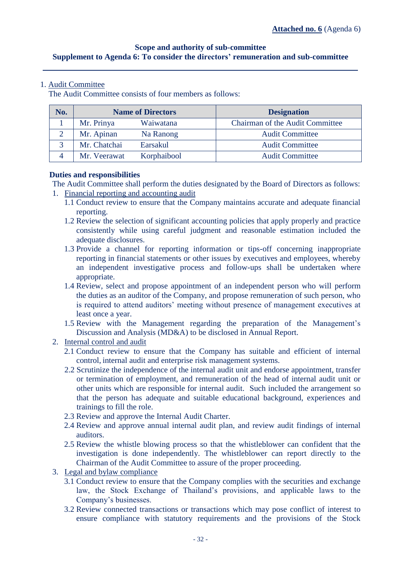# **Scope and authority of sub-committee Supplement to Agenda 6: To consider the directors' remuneration and sub-committee**

## 1. Audit Committee

The Audit Committee consists of four members as follows:

| No. | <b>Name of Directors</b> |             | <b>Designation</b>                     |  |
|-----|--------------------------|-------------|----------------------------------------|--|
|     | Mr. Prinya               | Waiwatana   | <b>Chairman of the Audit Committee</b> |  |
|     | Mr. Apinan               | Na Ranong   | <b>Audit Committee</b>                 |  |
|     | Mr. Chatchai             | Earsakul    | <b>Audit Committee</b>                 |  |
|     | Mr. Veerawat             | Korphaibool | <b>Audit Committee</b>                 |  |

## **Duties and responsibilities**

The Audit Committee shall perform the duties designated by the Board of Directors as follows:

- 1. Financial reporting and accounting audit
	- 1.1 Conduct review to ensure that the Company maintains accurate and adequate financial reporting.
	- 1.2 Review the selection of significant accounting policies that apply properly and practice consistently while using careful judgment and reasonable estimation included the adequate disclosures.
	- 1.3 Provide a channel for reporting information or tips-off concerning inappropriate reporting in financial statements or other issues by executives and employees, whereby an independent investigative process and follow-ups shall be undertaken where appropriate.
	- 1.4 Review, select and propose appointment of an independent person who will perform the duties as an auditor of the Company, and propose remuneration of such person, who is required to attend auditors' meeting without presence of management executives at least once a year.
	- 1.5 Review with the Management regarding the preparation of the Management's Discussion and Analysis (MD&A) to be disclosed in Annual Report.
- 2. Internal control and audit
	- 2.1 Conduct review to ensure that the Company has suitable and efficient of internal control, internal audit and enterprise risk management systems.
	- 2.2 Scrutinize the independence of the internal audit unit and endorse appointment, transfer or termination of employment, and remuneration of the head of internal audit unit or other units which are responsible for internal audit. Such included the arrangement so that the person has adequate and suitable educational background, experiences and trainings to fill the role.
	- 2.3 Review and approve the Internal Audit Charter.
	- 2.4 Review and approve annual internal audit plan, and review audit findings of internal auditors.
	- 2.5 Review the whistle blowing process so that the whistleblower can confident that the investigation is done independently. The whistleblower can report directly to the Chairman of the Audit Committee to assure of the proper proceeding.
- 3. Legal and bylaw compliance
	- 3.1 Conduct review to ensure that the Company complies with the securities and exchange law, the Stock Exchange of Thailand's provisions, and applicable laws to the Company's businesses.
	- 3.2 Review connected transactions or transactions which may pose conflict of interest to ensure compliance with statutory requirements and the provisions of the Stock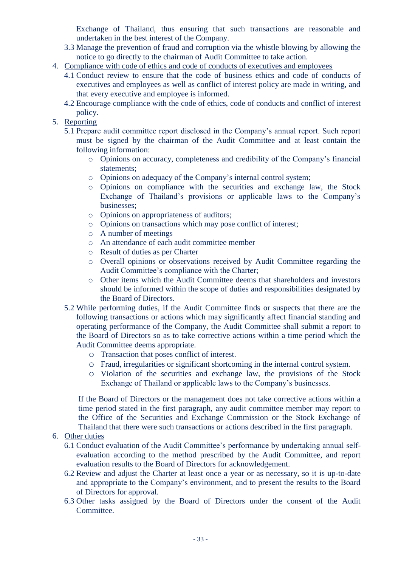Exchange of Thailand, thus ensuring that such transactions are reasonable and undertaken in the best interest of the Company.

- 3.3 Manage the prevention of fraud and corruption via the whistle blowing by allowing the notice to go directly to the chairman of Audit Committee to take action.
- 4. Compliance with code of ethics and code of conducts of executives and employees
	- 4.1 Conduct review to ensure that the code of business ethics and code of conducts of executives and employees as well as conflict of interest policy are made in writing, and that every executive and employee is informed.
	- 4.2 Encourage compliance with the code of ethics, code of conducts and conflict of interest policy.
- 5. Reporting
	- 5.1 Prepare audit committee report disclosed in the Company's annual report. Such report must be signed by the chairman of the Audit Committee and at least contain the following information:
		- o Opinions on accuracy, completeness and credibility of the Company's financial statements;
		- o Opinions on adequacy of the Company's internal control system;
		- o Opinions on compliance with the securities and exchange law, the Stock Exchange of Thailand's provisions or applicable laws to the Company's businesses;
		- o Opinions on appropriateness of auditors;
		- o Opinions on transactions which may pose conflict of interest;
		- o A number of meetings
		- o An attendance of each audit committee member
		- o Result of duties as per Charter
		- o Overall opinions or observations received by Audit Committee regarding the Audit Committee's compliance with the Charter;
		- o Other items which the Audit Committee deems that shareholders and investors should be informed within the scope of duties and responsibilities designated by the Board of Directors.
	- 5.2 While performing duties, if the Audit Committee finds or suspects that there are the following transactions or actions which may significantly affect financial standing and operating performance of the Company, the Audit Committee shall submit a report to the Board of Directors so as to take corrective actions within a time period which the Audit Committee deems appropriate.
		- o Transaction that poses conflict of interest.
		- o Fraud, irregularities or significant shortcoming in the internal control system.
		- o Violation of the securities and exchange law, the provisions of the Stock Exchange of Thailand or applicable laws to the Company's businesses.

If the Board of Directors or the management does not take corrective actions within a time period stated in the first paragraph, any audit committee member may report to the Office of the Securities and Exchange Commission or the Stock Exchange of Thailand that there were such transactions or actions described in the first paragraph.

- 6. Other duties
	- 6.1 Conduct evaluation of the Audit Committee's performance by undertaking annual selfevaluation according to the method prescribed by the Audit Committee, and report evaluation results to the Board of Directors for acknowledgement.
	- 6.2 Review and adjust the Charter at least once a year or as necessary, so it is up-to-date and appropriate to the Company's environment, and to present the results to the Board of Directors for approval.
	- 6.3 Other tasks assigned by the Board of Directors under the consent of the Audit Committee.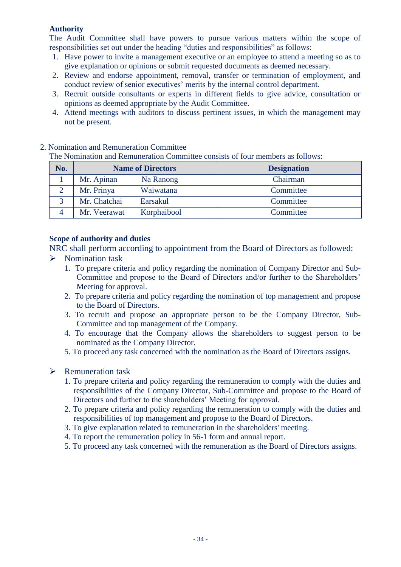# **Authority**

The Audit Committee shall have powers to pursue various matters within the scope of responsibilities set out under the heading "duties and responsibilities" as follows:

- 1. Have power to invite a management executive or an employee to attend a meeting so as to give explanation or opinions or submit requested documents as deemed necessary.
- 2. Review and endorse appointment, removal, transfer or termination of employment, and conduct review of senior executives' merits by the internal control department.
- 3. Recruit outside consultants or experts in different fields to give advice, consultation or opinions as deemed appropriate by the Audit Committee.
- 4. Attend meetings with auditors to discuss pertinent issues, in which the management may not be present.

| No. | <b>Name of Directors</b> |             | <b>Designation</b> |  |  |  |  |
|-----|--------------------------|-------------|--------------------|--|--|--|--|
|     | Mr. Apinan               | Na Ranong   | Chairman           |  |  |  |  |
|     | Mr. Prinya               | Waiwatana   | Committee          |  |  |  |  |
|     | Mr. Chatchai             | Earsakul    | Committee          |  |  |  |  |
|     | Mr. Veerawat             | Korphaibool | Committee          |  |  |  |  |

## 2. Nomination and Remuneration Committee

The Nomination and Remuneration Committee consists of four members as follows:

# **Scope of authority and duties**

NRC shall perform according to appointment from the Board of Directors as followed:  $\triangleright$  Nomination task

- 1. To prepare criteria and policy regarding the nomination of Company Director and Sub-Committee and propose to the Board of Directors and/or further to the Shareholders' Meeting for approval.
- 2. To prepare criteria and policy regarding the nomination of top management and propose to the Board of Directors.
- 3. To recruit and propose an appropriate person to be the Company Director, Sub-Committee and top management of the Company.
- 4. To encourage that the Company allows the shareholders to suggest person to be nominated as the Company Director.
- 5. To proceed any task concerned with the nomination as the Board of Directors assigns.

# $\triangleright$  Remuneration task

- 1. To prepare criteria and policy regarding the remuneration to comply with the duties and responsibilities of the Company Director, Sub-Committee and propose to the Board of Directors and further to the shareholders' Meeting for approval.
- 2. To prepare criteria and policy regarding the remuneration to comply with the duties and responsibilities of top management and propose to the Board of Directors.
- 3. To give explanation related to remuneration in the shareholders' meeting.
- 4. To report the remuneration policy in 56-1 form and annual report.
- 5. To proceed any task concerned with the remuneration as the Board of Directors assigns.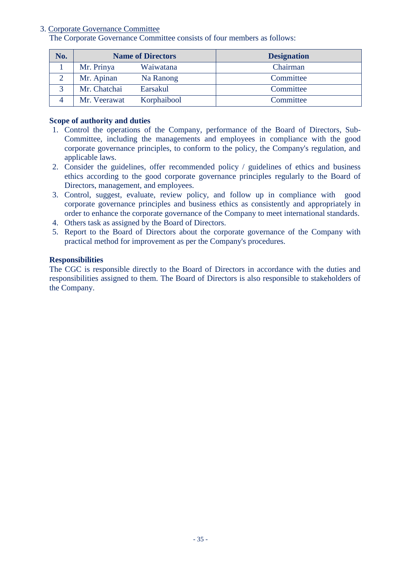## 3. Corporate Governance Committee

The Corporate Governance Committee consists of four members as follows:

| No. | <b>Name of Directors</b> |             | <b>Designation</b> |  |
|-----|--------------------------|-------------|--------------------|--|
|     | Mr. Prinya               | Waiwatana   | Chairman           |  |
|     | Mr. Apinan               | Na Ranong   | Committee          |  |
|     | Mr. Chatchai             | Earsakul    | Committee          |  |
|     | Mr. Veerawat             | Korphaibool | Committee          |  |

## **Scope of authority and duties**

- 1. Control the operations of the Company, performance of the Board of Directors, Sub-Committee, including the managements and employees in compliance with the good corporate governance principles, to conform to the policy, the Company's regulation, and applicable laws.
- 2. Consider the guidelines, offer recommended policy / guidelines of ethics and business ethics according to the good corporate governance principles regularly to the Board of Directors, management, and employees.
- 3. Control, suggest, evaluate, review policy, and follow up in compliance with good corporate governance principles and business ethics as consistently and appropriately in order to enhance the corporate governance of the Company to meet international standards.
- 4. Others task as assigned by the Board of Directors.
- 5. Report to the Board of Directors about the corporate governance of the Company with practical method for improvement as per the Company's procedures.

## **Responsibilities**

The CGC is responsible directly to the Board of Directors in accordance with the duties and responsibilities assigned to them. The Board of Directors is also responsible to stakeholders of the Company.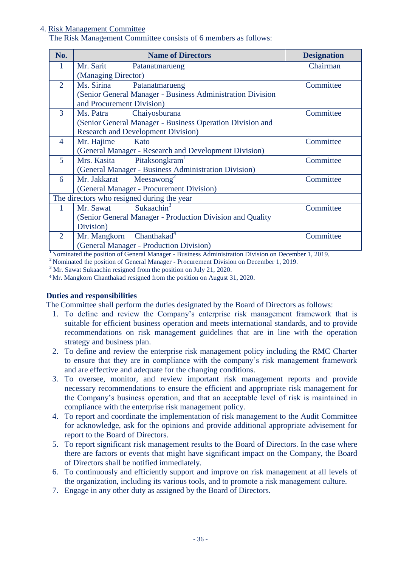## 4. Risk Management Committee

The Risk Management Committee consists of 6 members as follows:

| No.            | <b>Name of Directors</b>                                   | <b>Designation</b> |  |  |  |
|----------------|------------------------------------------------------------|--------------------|--|--|--|
| 1              | Mr. Sarit Patanatmarueng                                   | Chairman           |  |  |  |
|                | (Managing Director)                                        |                    |  |  |  |
| 2              | Ms. Sirina<br>Patanatmarueng                               | Committee          |  |  |  |
|                | (Senior General Manager - Business Administration Division |                    |  |  |  |
|                | and Procurement Division)                                  |                    |  |  |  |
| 3              | Ms. Patra Chaiyosburana                                    | Committee          |  |  |  |
|                | (Senior General Manager - Business Operation Division and  |                    |  |  |  |
|                | <b>Research and Development Division)</b>                  |                    |  |  |  |
| $\overline{4}$ | Mr. Hajime<br>Kato                                         | Committee          |  |  |  |
|                | (General Manager - Research and Development Division)      |                    |  |  |  |
| $\mathfrak{H}$ | Pitaksongkram <sup>1</sup><br>Mrs. Kasita                  | Committee          |  |  |  |
|                | (General Manager - Business Administration Division)       |                    |  |  |  |
| 6              | Mr. Jakkarat Meesawong <sup>2</sup>                        | Committee          |  |  |  |
|                | (General Manager - Procurement Division)                   |                    |  |  |  |
|                | The directors who resigned during the year                 |                    |  |  |  |
|                | Sukaachin <sup>3</sup><br>Mr. Sawat                        | Committee          |  |  |  |
|                | (Senior General Manager - Production Division and Quality  |                    |  |  |  |
|                | Division)                                                  |                    |  |  |  |
| 2              | Chanthakad <sup>4</sup><br>Mr. Mangkorn                    | Committee          |  |  |  |
|                | (General Manager - Production Division)                    |                    |  |  |  |

<sup>1</sup>Nominated the position of General Manager - Business Administration Division on December 1, 2019.

<sup>2</sup> Nominated the position of General Manager - Procurement Division on December 1, 2019.

<sup>3</sup> Mr. Sawat Sukaachin resigned from the position on July 21, 2020.

<sup>4</sup>Mr. Mangkorn Chanthakad resigned from the position on August 31, 2020.

#### **Duties and responsibilities**

The Committee shall perform the duties designated by the Board of Directors as follows:

- 1. To define and review the Company's enterprise risk management framework that is suitable for efficient business operation and meets international standards, and to provide recommendations on risk management guidelines that are in line with the operation strategy and business plan.
- 2. To define and review the enterprise risk management policy including the RMC Charter to ensure that they are in compliance with the company's risk management framework and are effective and adequate for the changing conditions.
- 3. To oversee, monitor, and review important risk management reports and provide necessary recommendations to ensure the efficient and appropriate risk management for the Company's business operation, and that an acceptable level of risk is maintained in compliance with the enterprise risk management policy.
- 4. To report and coordinate the implementation of risk management to the Audit Committee for acknowledge, ask for the opinions and provide additional appropriate advisement for report to the Board of Directors.
- 5. To report significant risk management results to the Board of Directors. In the case where there are factors or events that might have significant impact on the Company, the Board of Directors shall be notified immediately.
- 6. To continuously and efficiently support and improve on risk management at all levels of the organization, including its various tools, and to promote a risk management culture.
- 7. Engage in any other duty as assigned by the Board of Directors.